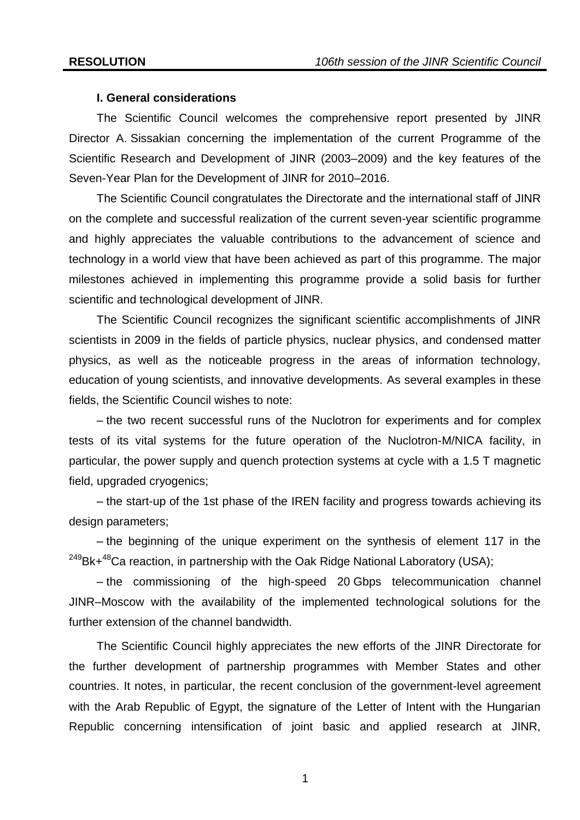#### **I. General considerations**

The Scientific Council welcomes the comprehensive report presented by JINR Director A. Sissakian concerning the implementation of the current Programme of the Scientific Research and Development of JINR (2003–2009) and the key features of the Seven-Year Plan for the Development of JINR for 2010–2016.

The Scientific Council congratulates the Directorate and the international staff of JINR on the complete and successful realization of the current seven-year scientific programme and highly appreciates the valuable contributions to the advancement of science and technology in a world view that have been achieved as part of this programme. The major milestones achieved in implementing this programme provide a solid basis for further scientific and technological development of JINR.

The Scientific Council recognizes the significant scientific accomplishments of JINR scientists in 2009 in the fields of particle physics, nuclear physics, and condensed matter physics, as well as the noticeable progress in the areas of information technology, education of young scientists, and innovative developments. As several examples in these fields, the Scientific Council wishes to note:

– the two recent successful runs of the Nuclotron for experiments and for complex tests of its vital systems for the future operation of the Nuclotron-M/NICA facility, in particular, the power supply and quench protection systems at cycle with a 1.5 T magnetic field, upgraded cryogenics;

– the start-up of the 1st phase of the IREN facility and progress towards achieving its design parameters;

– the beginning of the unique experiment on the synthesis of element 117 in the  $249Bk+48Ca$  reaction, in partnership with the Oak Ridge National Laboratory (USA);

– the commissioning of the high-speed 20 Gbps telecommunication channel JINR–Moscow with the availability of the implemented technological solutions for the further extension of the channel bandwidth.

The Scientific Council highly appreciates the new efforts of the JINR Directorate for the further development of partnership programmes with Member States and other countries. It notes, in particular, the recent conclusion of the government-level agreement with the Arab Republic of Egypt, the signature of the Letter of Intent with the Hungarian Republic concerning intensification of joint basic and applied research at JINR,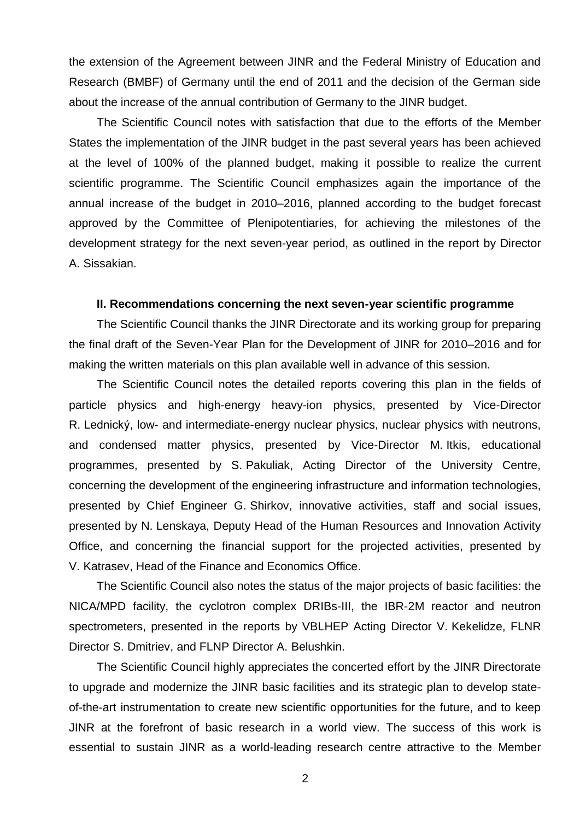the extension of the Agreement between JINR and the Federal Ministry of Education and Research (BMBF) of Germany until the end of 2011 and the decision of the German side about the increase of the annual contribution of Germany to the JINR budget.

The Scientific Council notes with satisfaction that due to the efforts of the Member States the implementation of the JINR budget in the past several years has been achieved at the level of 100% of the planned budget, making it possible to realize the current scientific programme. The Scientific Council emphasizes again the importance of the annual increase of the budget in 2010–2016, planned according to the budget forecast approved by the Committee of Plenipotentiaries, for achieving the milestones of the development strategy for the next seven-year period, as outlined in the report by Director A. Sissakian.

## **II. Recommendations concerning the next seven-year scientific programme**

The Scientific Council thanks the JINR Directorate and its working group for preparing the final draft of the Seven-Year Plan for the Development of JINR for 2010–2016 and for making the written materials on this plan available well in advance of this session.

The Scientific Council notes the detailed reports covering this plan in the fields of particle physics and high-energy heavy-ion physics, presented by Vice-Director R. Lednický, low- and intermediate-energy nuclear physics, nuclear physics with neutrons, and condensed matter physics, presented by Vice-Director M. Itkis, educational programmes, presented by S. Pakuliak, Acting Director of the University Centre, concerning the development of the engineering infrastructure and information technologies, presented by Chief Engineer G. Shirkov, innovative activities, staff and social issues, presented by N. Lenskaya, Deputy Head of the Human Resources and Innovation Activity Office, and concerning the financial support for the projected activities, presented by V. Katrasev, Head of the Finance and Economics Office.

The Scientific Council also notes the status of the major projects of basic facilities: the NICA/MPD facility, the cyclotron complex DRIBs-III, the IBR-2M reactor and neutron spectrometers, presented in the reports by VBLHEP Acting Director V. Kekelidze, FLNR Director S. Dmitriev, and FLNP Director A. Belushkin.

The Scientific Council highly appreciates the concerted effort by the JINR Directorate to upgrade and modernize the JINR basic facilities and its strategic plan to develop stateof-the-art instrumentation to create new scientific opportunities for the future, and to keep JINR at the forefront of basic research in a world view. The success of this work is essential to sustain JINR as a world-leading research centre attractive to the Member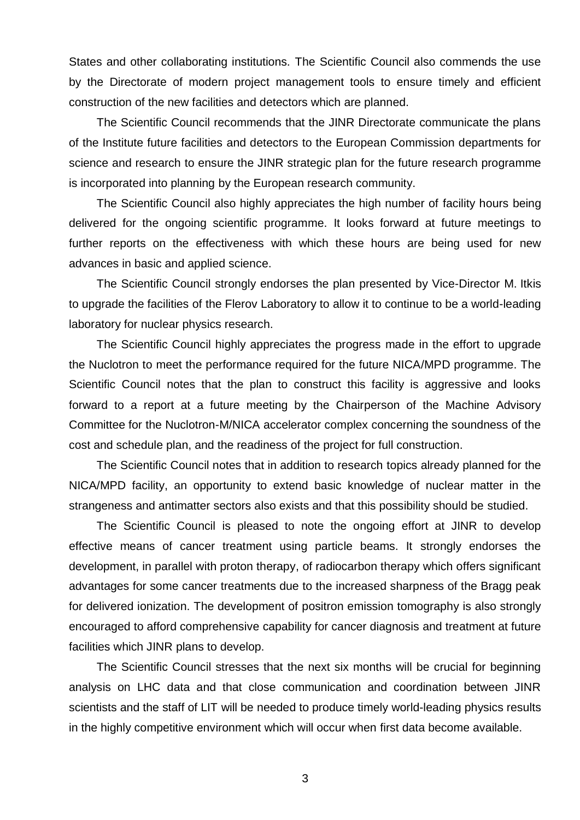States and other collaborating institutions. The Scientific Council also commends the use by the Directorate of modern project management tools to ensure timely and efficient construction of the new facilities and detectors which are planned.

The Scientific Council recommends that the JINR Directorate communicate the plans of the Institute future facilities and detectors to the European Commission departments for science and research to ensure the JINR strategic plan for the future research programme is incorporated into planning by the European research community.

The Scientific Council also highly appreciates the high number of facility hours being delivered for the ongoing scientific programme. It looks forward at future meetings to further reports on the effectiveness with which these hours are being used for new advances in basic and applied science.

The Scientific Council strongly endorses the plan presented by Vice-Director M. Itkis to upgrade the facilities of the Flerov Laboratory to allow it to continue to be a world-leading laboratory for nuclear physics research.

The Scientific Council highly appreciates the progress made in the effort to upgrade the Nuclotron to meet the performance required for the future NICA/MPD programme. The Scientific Council notes that the plan to construct this facility is aggressive and looks forward to a report at a future meeting by the Chairperson of the Machine Advisory Committee for the Nuclotron-M/NICA accelerator complex concerning the soundness of the cost and schedule plan, and the readiness of the project for full construction.

The Scientific Council notes that in addition to research topics already planned for the NICA/MPD facility, an opportunity to extend basic knowledge of nuclear matter in the strangeness and antimatter sectors also exists and that this possibility should be studied.

The Scientific Council is pleased to note the ongoing effort at JINR to develop effective means of cancer treatment using particle beams. It strongly endorses the development, in parallel with proton therapy, of radiocarbon therapy which offers significant advantages for some cancer treatments due to the increased sharpness of the Bragg peak for delivered ionization. The development of positron emission tomography is also strongly encouraged to afford comprehensive capability for cancer diagnosis and treatment at future facilities which JINR plans to develop.

The Scientific Council stresses that the next six months will be crucial for beginning analysis on LHC data and that close communication and coordination between JINR scientists and the staff of LIT will be needed to produce timely world-leading physics results in the highly competitive environment which will occur when first data become available.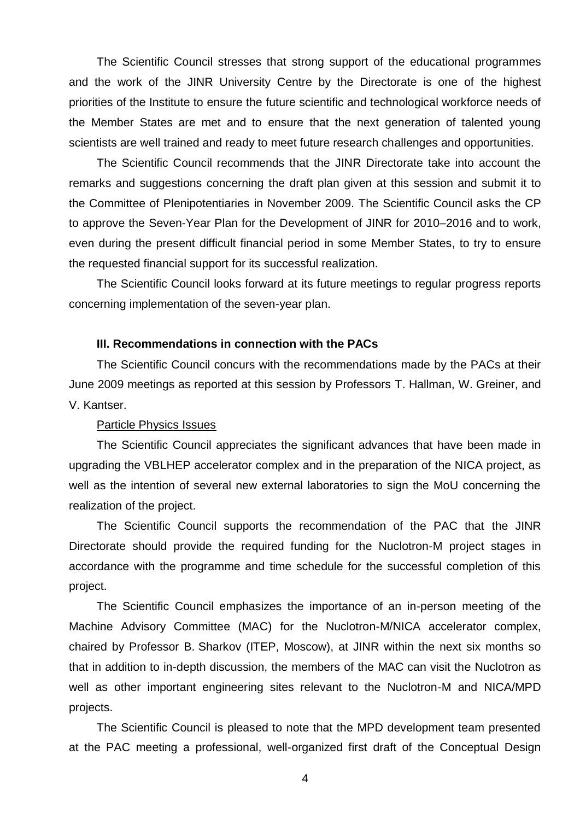The Scientific Council stresses that strong support of the educational programmes and the work of the JINR University Centre by the Directorate is one of the highest priorities of the Institute to ensure the future scientific and technological workforce needs of the Member States are met and to ensure that the next generation of talented young scientists are well trained and ready to meet future research challenges and opportunities.

The Scientific Council recommends that the JINR Directorate take into account the remarks and suggestions concerning the draft plan given at this session and submit it to the Committee of Plenipotentiaries in November 2009. The Scientific Council asks the CP to approve the Seven-Year Plan for the Development of JINR for 2010–2016 and to work, even during the present difficult financial period in some Member States, to try to ensure the requested financial support for its successful realization.

The Scientific Council looks forward at its future meetings to regular progress reports concerning implementation of the seven-year plan.

#### **III. Recommendations in connection with the PACs**

The Scientific Council concurs with the recommendations made by the PACs at their June 2009 meetings as reported at this session by Professors T. Hallman, W. Greiner, and V. Kantser.

## Particle Physics Issues

The Scientific Council appreciates the significant advances that have been made in upgrading the VBLHEP accelerator complex and in the preparation of the NICA project, as well as the intention of several new external laboratories to sign the MoU concerning the realization of the project.

The Scientific Council supports the recommendation of the PAC that the JINR Directorate should provide the required funding for the Nuclotron-M project stages in accordance with the programme and time schedule for the successful completion of this project.

The Scientific Council emphasizes the importance of an in-person meeting of the Machine Advisory Committee (MAC) for the Nuclotron-M/NICA accelerator complex, chaired by Professor B. Sharkov (ITEP, Moscow), at JINR within the next six months so that in addition to in-depth discussion, the members of the MAC can visit the Nuclotron as well as other important engineering sites relevant to the Nuclotron-M and NICA/MPD projects.

The Scientific Council is pleased to note that the MPD development team presented at the PAC meeting a professional, well-organized first draft of the Conceptual Design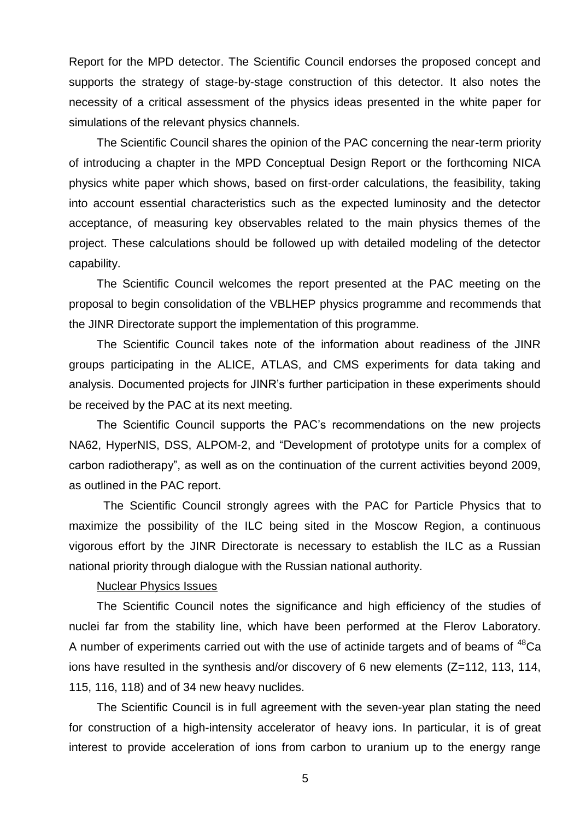Report for the MPD detector. The Scientific Council endorses the proposed concept and supports the strategy of stage-by-stage construction of this detector. It also notes the necessity of a critical assessment of the physics ideas presented in the white paper for simulations of the relevant physics channels.

The Scientific Council shares the opinion of the PAC concerning the near-term priority of introducing a chapter in the MPD Conceptual Design Report or the forthcoming NICA physics white paper which shows, based on first-order calculations, the feasibility, taking into account essential characteristics such as the expected luminosity and the detector acceptance, of measuring key observables related to the main physics themes of the project. These calculations should be followed up with detailed modeling of the detector capability.

The Scientific Council welcomes the report presented at the PAC meeting on the proposal to begin consolidation of the VBLHEP physics programme and recommends that the JINR Directorate support the implementation of this programme.

The Scientific Council takes note of the information about readiness of the JINR groups participating in the ALICE, ATLAS, and CMS experiments for data taking and analysis. Documented projects for JINR's further participation in these experiments should be received by the PAC at its next meeting.

The Scientific Council supports the PAC's recommendations on the new projects NA62, HyperNIS, DSS, ALPOM-2, and "Development of prototype units for a complex of carbon radiotherapy", as well as on the continuation of the current activities beyond 2009, as outlined in the PAC report.

The Scientific Council strongly agrees with the PAC for Particle Physics that to maximize the possibility of the ILC being sited in the Moscow Region, a continuous vigorous effort by the JINR Directorate is necessary to establish the ILC as a Russian national priority through dialogue with the Russian national authority.

## Nuclear Physics Issues

The Scientific Council notes the significance and high efficiency of the studies of nuclei far from the stability line, which have been performed at the Flerov Laboratory. A number of experiments carried out with the use of actinide targets and of beams of <sup>48</sup>Ca ions have resulted in the synthesis and/or discovery of 6 new elements (Z=112, 113, 114, 115, 116, 118) and of 34 new heavy nuclides.

The Scientific Council is in full agreement with the seven-year plan stating the need for construction of a high-intensity accelerator of heavy ions. In particular, it is of great interest to provide acceleration of ions from carbon to uranium up to the energy range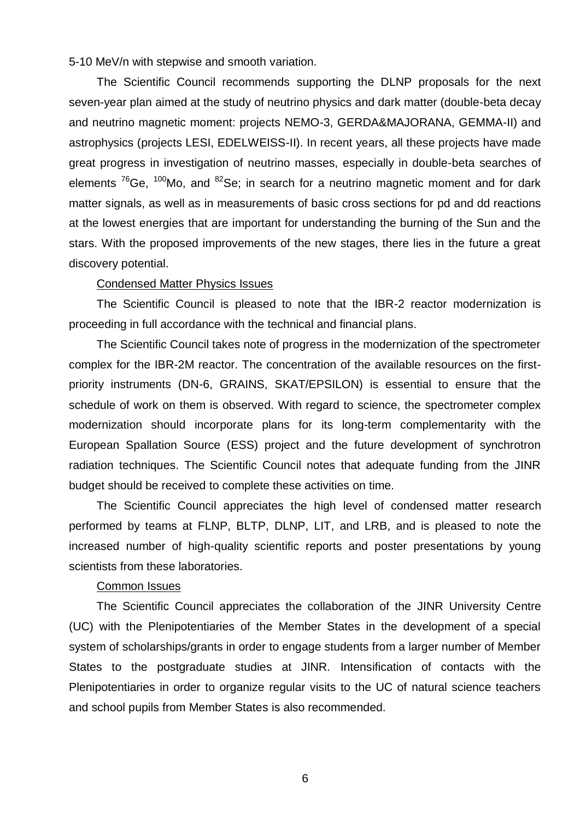5-10 MeV/n with stepwise and smooth variation.

The Scientific Council recommends supporting the DLNP proposals for the next seven-year plan aimed at the study of neutrino physics and dark matter (double-beta decay and neutrino magnetic moment: projects NEMO-3, GERDA&MAJORANA, GEMMA-II) and astrophysics (projects LESI, EDELWEISS-II). In recent years, all these projects have made great progress in investigation of neutrino masses, especially in double-beta searches of elements  $76$ Ge,  $100$ Mo, and  $82$ Se; in search for a neutrino magnetic moment and for dark matter signals, as well as in measurements of basic cross sections for pd and dd reactions at the lowest energies that are important for understanding the burning of the Sun and the stars. With the proposed improvements of the new stages, there lies in the future a great discovery potential.

## Condensed Matter Physics Issues

The Scientific Council is pleased to note that the IBR-2 reactor modernization is proceeding in full accordance with the technical and financial plans.

The Scientific Council takes note of progress in the modernization of the spectrometer complex for the IBR-2M reactor. The concentration of the available resources on the firstpriority instruments (DN-6, GRAINS, SKAT/EPSILON) is essential to ensure that the schedule of work on them is observed. With regard to science, the spectrometer complex modernization should incorporate plans for its long-term complementarity with the European Spallation Source (ESS) project and the future development of synchrotron radiation techniques. The Scientific Council notes that adequate funding from the JINR budget should be received to complete these activities on time.

The Scientific Council appreciates the high level of condensed matter research performed by teams at FLNP, BLTP, DLNP, LIT, and LRB, and is pleased to note the increased number of high-quality scientific reports and poster presentations by young scientists from these laboratories.

## Common Issues

The Scientific Council appreciates the collaboration of the JINR University Centre (UC) with the Plenipotentiaries of the Member States in the development of a special system of scholarships/grants in order to engage students from a larger number of Member States to the postgraduate studies at JINR. Intensification of contacts with the Plenipotentiaries in order to organize regular visits to the UC of natural science teachers and school pupils from Member States is also recommended.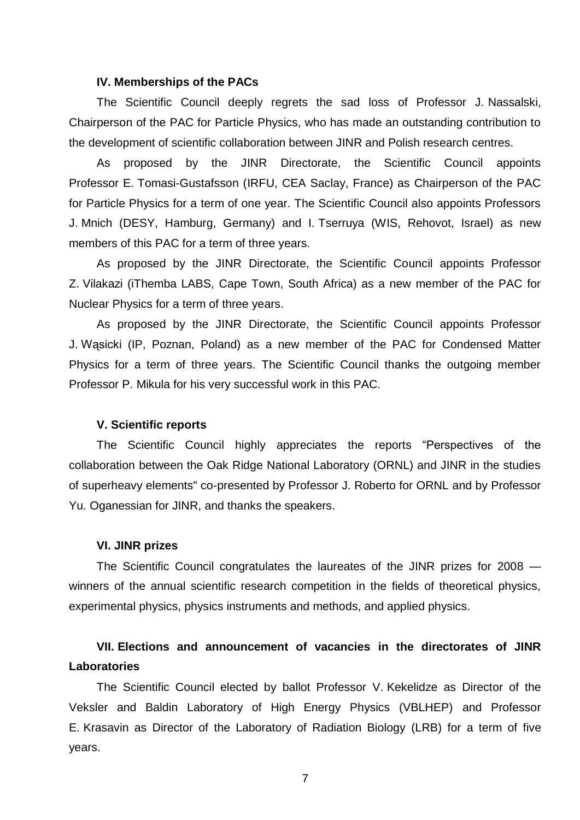#### **IV. Memberships of the PACs**

The Scientific Council deeply regrets the sad loss of Professor J. Nassalski, Chairperson of the PAC for Particle Physics, who has made an outstanding contribution to the development of scientific collaboration between JINR and Polish research centres.

As proposed by the JINR Directorate, the Scientific Council appoints Professor E. Tomasi-Gustafsson (IRFU, CEA Saclay, France) as Chairperson of the PAC for Particle Physics for a term of one year. The Scientific Council also appoints Professors J. Mnich (DESY, Hamburg, Germany) and I. Tserruya (WIS, Rehovot, Israel) as new members of this PAC for a term of three years.

As proposed by the JINR Directorate, the Scientific Council appoints Professor Z. Vilakazi (iThemba LABS, Cape Town, South Africa) as a new member of the PAC for Nuclear Physics for a term of three years.

As proposed by the JINR Directorate, the Scientific Council appoints Professor J. Wąsicki (IP, Poznan, Poland) as a new member of the PAC for Condensed Matter Physics for a term of three years. The Scientific Council thanks the outgoing member Professor P. Mikula for his very successful work in this PAC.

## **V. Scientific reports**

The Scientific Council highly appreciates the reports "Perspectives of the collaboration between the Oak Ridge National Laboratory (ORNL) and JINR in the studies of superheavy elements" co-presented by Professor J. Roberto for ORNL and by Professor Yu. Oganessian for JINR, and thanks the speakers.

#### **VI. JINR prizes**

The Scientific Council congratulates the laureates of the JINR prizes for 2008 winners of the annual scientific research competition in the fields of theoretical physics, experimental physics, physics instruments and methods, and applied physics.

# **VII. Elections and announcement of vacancies in the directorates of JINR Laboratories**

The Scientific Council elected by ballot Professor V. Kekelidze as Director of the Veksler and Baldin Laboratory of High Energy Physics (VBLHEP) and Professor E. Krasavin as Director of the Laboratory of Radiation Biology (LRB) for a term of five years.